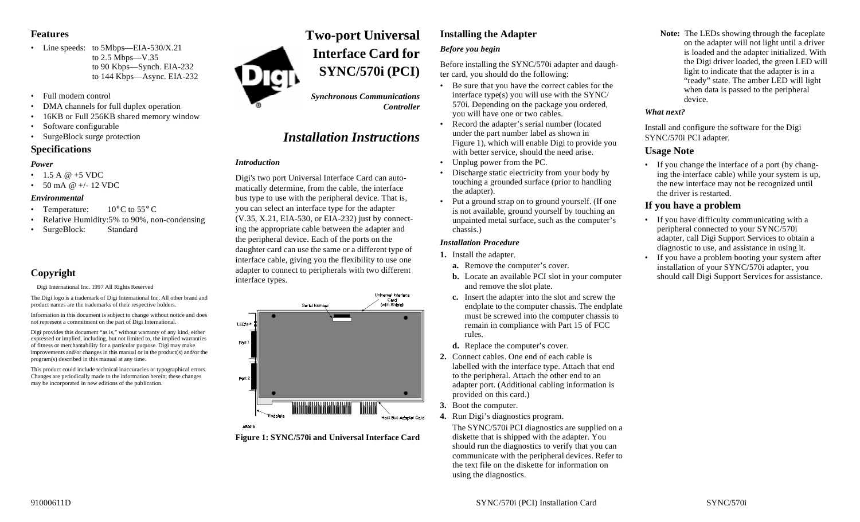### **Features**

- Line speeds: to 5Mbps—EIA-530/X.21 to 2.5 Mbps—V.35 to 90 Kbps—Synch. EIA-232 to 144 Kbps—Async. EIA-232
- Full modem control
- •DMA channels for full duplex operation
- •16KB or Full 256KB shared memory window
- •Software configurable
- SurgeBlock surge protection

### **Specifications**

### *Power*

- 1.5 A @ +5 VDC
- 50 mA @ +/- 12 VDC

### *Environmental*

- Temperature:  $10^{\circ}$ C to 55° C
- •Relative Humidity:5% to 90%, non-condensing
- SurgeBlock: Standard

### **Copyright**

 $©$  Digi International Inc. 1997 All Rights Reserved

The Digi logo is a trademark of Digi International Inc. All other brand and product names are the trademarks of their respective holders.

Information in this document is subject to change without notice and does not represent a commitment on the part of Digi International.

Digi provides this document "as is," without warranty of any kind, either expressed or implied, including, but not limited to, the implied warranties of fitness or merchantability for a particular purpose. Digi may make improvements and/or changes in this manual or in the product(s) and/or the program(s) described in this manual at any time.

This product could include technical inaccuracies or typographical errors. Changes are periodically made to the information herein; these changes may be incorporated in new editions of the publication.

# **Two-port Universal Interface Card forSYNC/570i (PCI)**

*Synchronous Communications Controller*

## *Installation Instructions*

### *Introduction*

Digi's two port Universal Interface Card can automatically determine, from the cable, the interface bus type to use with the peripheral device. That is, you can select an interface type for the adapter (V.35, X.21, EIA-530, or EIA-232) just by connecting the appropriate cable between the adapter and the peripheral device. Each of the ports on the daughter card can use the same or a different type of interface cable, giving you the flexibility to use one adapter to connect to peripherals with two different interface types.



**Figure 1: SYNC/570i and Universal Interface Card**

## **Installing the Adapter** *Before you begin*

Before installing the SYNC/570i adapter and daughter card, you should do the following:

- Be sure that you have the correct cables for the interface type(s) you will use with the SYNC/ 570i. Depending on the package you ordered, you will have one or two cables.
- Record the adapter's serial number (located under the part number label as shown in Figure 1), which will enable Digi to provide you with better service, should the need arise.
- Unplug power from the PC.
- • Discharge static electricity from your body by touching a grounded surface (prior to handling the adapter).
- Put a ground strap on to ground yourself. (If one is not available, ground yourself by touching an unpainted metal surface, such as the computer's chassis.)

### *Installation Procedure*

- **1.** Install the adapter.
	- **a.** Remove the computer's cover.
	- **b.** Locate an available PCI slot in your computer and remove the slot plate.
	- **c.** Insert the adapter into the slot and screw the endplate to the computer chassis. The endplate must be screwed into the computer chassis to remain in compliance with Part 15 of FCC rules.
	- **d.** Replace the computer's cover.
- **2.** Connect cables. One end of each cable is labelled with the interface type. Attach that end to the peripheral. Attach the other end to an adapter port. (Additional cabling information is provided on this card.)
- **3.** Boot the computer.
- **4.** Run Digi's diagnostics program.

The SYNC/570i PCI diagnostics are supplied on a diskette that is shipped with the adapter. You should run the diagnostics to verify that you can communicate with the peripheral devices. Refer to the text file on the diskette for information on using the diagnostics.

**Note:** The LEDs showing through the faceplate on the adapter will not light until a driver is loaded and the adapter initialized. With the Digi driver loaded, the green LED will light to indicate that the adapter is in a "ready" state. The amber LED will light when data is passed to the peripheral device.

### *What next?*

Install and configure the software for the Digi SYNC/570i PCI adapter.

### **Usage Note**

•

• If you change the interface of a port (by changing the interface cable) while your system is up, the new interface may not be recognized until the driver is restarted.

### **If you have a problem**

- If you have difficulty communicating with a peripheral connected to your SYNC/570i adapter, call Digi Support Services to obtain a diagnostic to use, and assistance in using it.
- If you have a problem booting your system after installation of your SYNC/570i adapter, you should call Digi Support Services for assistance.